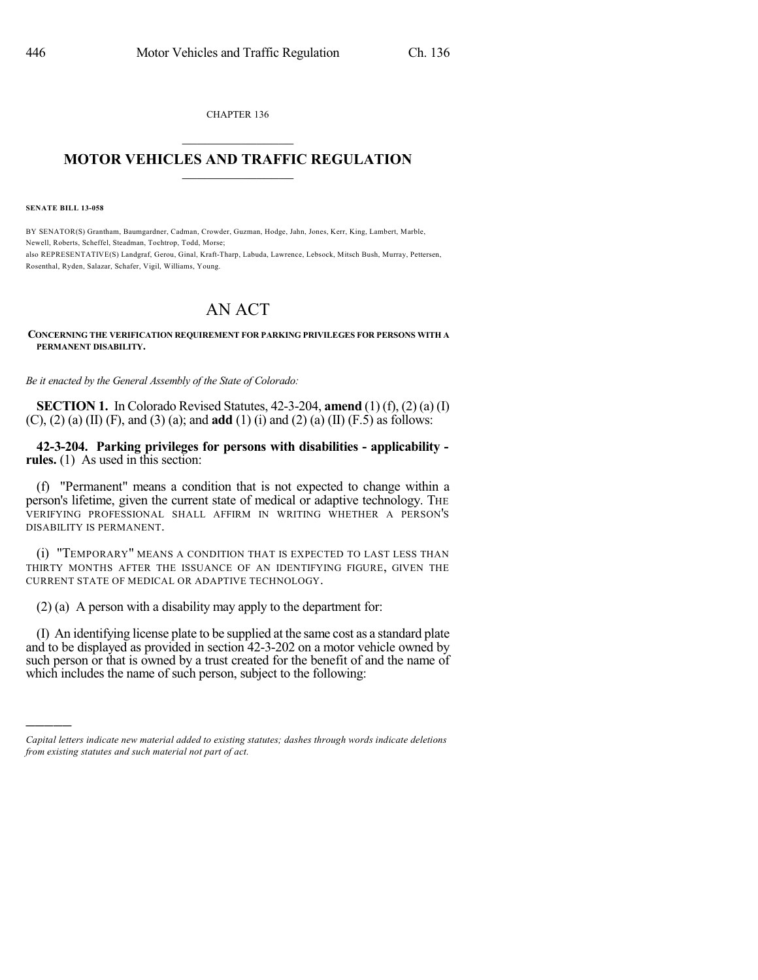CHAPTER 136  $\overline{\phantom{a}}$  . The set of the set of the set of the set of the set of the set of the set of the set of the set of the set of the set of the set of the set of the set of the set of the set of the set of the set of the set o

## **MOTOR VEHICLES AND TRAFFIC REGULATION**  $\frac{1}{2}$  ,  $\frac{1}{2}$  ,  $\frac{1}{2}$  ,  $\frac{1}{2}$  ,  $\frac{1}{2}$  ,  $\frac{1}{2}$  ,  $\frac{1}{2}$

**SENATE BILL 13-058**

)))))

BY SENATOR(S) Grantham, Baumgardner, Cadman, Crowder, Guzman, Hodge, Jahn, Jones, Kerr, King, Lambert, Marble, Newell, Roberts, Scheffel, Steadman, Tochtrop, Todd, Morse; also REPRESENTATIVE(S) Landgraf, Gerou, Ginal, Kraft-Tharp, Labuda, Lawrence, Lebsock, Mitsch Bush, Murray, Pettersen, Rosenthal, Ryden, Salazar, Schafer, Vigil, Williams, Young.

## AN ACT

## **CONCERNING THE VERIFICATION REQUIREMENT FOR PARKING PRIVILEGES FOR PERSONS WITH A PERMANENT DISABILITY.**

*Be it enacted by the General Assembly of the State of Colorado:*

**SECTION 1.** In Colorado Revised Statutes, 42-3-204, **amend** (1) (f), (2) (a) (I) (C), (2) (a) (II) (F), and (3) (a); and **add** (1) (i) and (2) (a) (II) (F.5) as follows:

**42-3-204. Parking privileges for persons with disabilities - applicability rules.** (1) As used in this section:

(f) "Permanent" means a condition that is not expected to change within a person's lifetime, given the current state of medical or adaptive technology. THE VERIFYING PROFESSIONAL SHALL AFFIRM IN WRITING WHETHER A PERSON'S DISABILITY IS PERMANENT.

(i) "TEMPORARY" MEANS A CONDITION THAT IS EXPECTED TO LAST LESS THAN THIRTY MONTHS AFTER THE ISSUANCE OF AN IDENTIFYING FIGURE, GIVEN THE CURRENT STATE OF MEDICAL OR ADAPTIVE TECHNOLOGY.

(2) (a) A person with a disability may apply to the department for:

(I) An identifying license plate to be supplied at the same cost as a standard plate and to be displayed as provided in section 42-3-202 on a motor vehicle owned by such person or that is owned by a trust created for the benefit of and the name of which includes the name of such person, subject to the following:

*Capital letters indicate new material added to existing statutes; dashes through words indicate deletions from existing statutes and such material not part of act.*